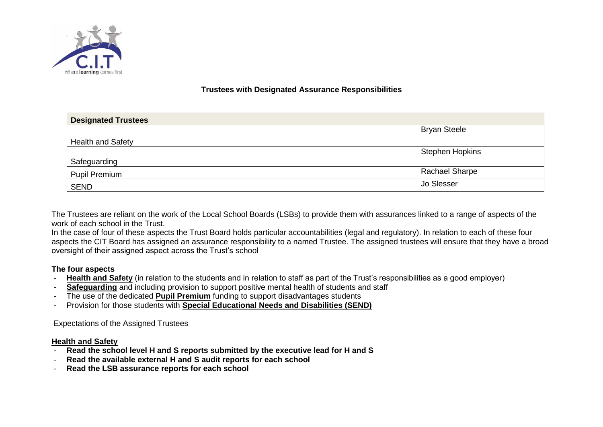

# **Trustees with Designated Assurance Responsibilities**

| <b>Designated Trustees</b> |                        |
|----------------------------|------------------------|
|                            | <b>Bryan Steele</b>    |
| <b>Health and Safety</b>   |                        |
|                            | <b>Stephen Hopkins</b> |
| Safeguarding               |                        |
| <b>Pupil Premium</b>       | <b>Rachael Sharpe</b>  |
| <b>SEND</b>                | Jo Slesser             |

The Trustees are reliant on the work of the Local School Boards (LSBs) to provide them with assurances linked to a range of aspects of the work of each school in the Trust.

In the case of four of these aspects the Trust Board holds particular accountabilities (legal and regulatory). In relation to each of these four aspects the CIT Board has assigned an assurance responsibility to a named Trustee. The assigned trustees will ensure that they have a broad oversight of their assigned aspect across the Trust's school

### **The four aspects**

- **Health and Safety** (in relation to the students and in relation to staff as part of the Trust's responsibilities as a good employer)
- **Safeguarding** and including provision to support positive mental health of students and staff
- The use of the dedicated **Pupil Premium** funding to support disadvantages students
- Provision for those students with **Special Educational Needs and Disabilities (SEND)**

# Expectations of the Assigned Trustees

### **Health and Safety**

- **Read the school level H and S reports submitted by the executive lead for H and S**
- **Read the available external H and S audit reports for each school**
- **Read the LSB assurance reports for each school**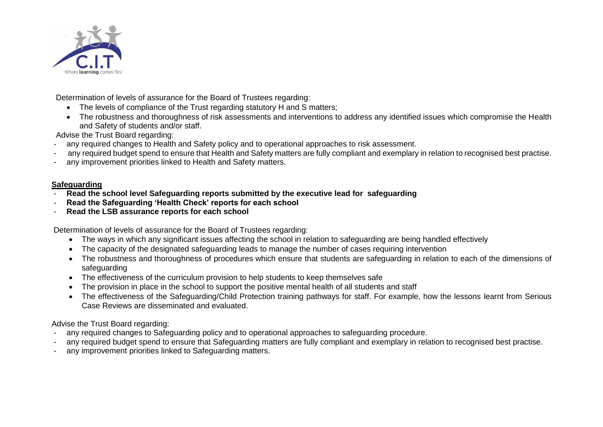

Determination of levels of assurance for the Board of Trustees regarding:

- The levels of compliance of the Trust regarding statutory H and S matters;
- The robustness and thoroughness of risk assessments and interventions to address any identified issues which compromise the Health and Safety of students and/or staff.

Advise the Trust Board regarding:

- any required changes to Health and Safety policy and to operational approaches to risk assessment.
- any required budget spend to ensure that Health and Safety matters are fully compliant and exemplary in relation to recognised best practise.
- any improvement priorities linked to Health and Safety matters.

### **Safeguarding**

- **Read the school level Safeguarding reports submitted by the executive lead for safeguarding**
- **Read the Safeguarding 'Health Check' reports for each school**
- **Read the LSB assurance reports for each school**

Determination of levels of assurance for the Board of Trustees regarding:

- The ways in which any significant issues affecting the school in relation to safeguarding are being handled effectively
- The capacity of the designated safeguarding leads to manage the number of cases requiring intervention
- The robustness and thoroughness of procedures which ensure that students are safeguarding in relation to each of the dimensions of safeguarding
- The effectiveness of the curriculum provision to help students to keep themselves safe
- The provision in place in the school to support the positive mental health of all students and staff
- The effectiveness of the Safeguarding/Child Protection training pathways for staff. For example, how the lessons learnt from Serious Case Reviews are disseminated and evaluated.

Advise the Trust Board regarding:

- any required changes to Safeguarding policy and to operational approaches to safeguarding procedure.
- any required budget spend to ensure that Safeguarding matters are fully compliant and exemplary in relation to recognised best practise.
- any improvement priorities linked to Safeguarding matters.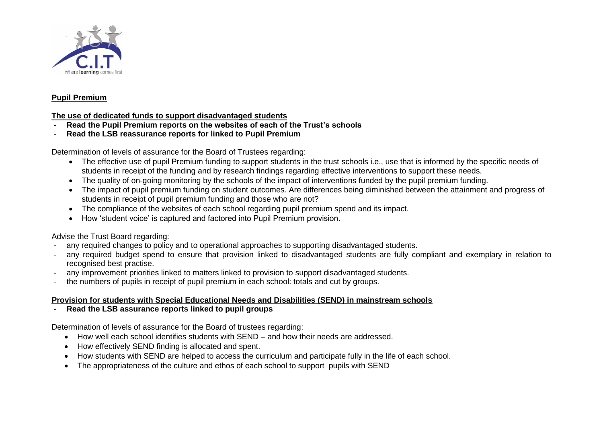

#### **Pupil Premium**

### **The use of dedicated funds to support disadvantaged students**

- **Read the Pupil Premium reports on the websites of each of the Trust's schools**
- **Read the LSB reassurance reports for linked to Pupil Premium**

Determination of levels of assurance for the Board of Trustees regarding:

- The effective use of pupil Premium funding to support students in the trust schools i.e., use that is informed by the specific needs of students in receipt of the funding and by research findings regarding effective interventions to support these needs.
- The quality of on-going monitoring by the schools of the impact of interventions funded by the pupil premium funding.
- The impact of pupil premium funding on student outcomes. Are differences being diminished between the attainment and progress of students in receipt of pupil premium funding and those who are not?
- The compliance of the websites of each school regarding pupil premium spend and its impact.
- How 'student voice' is captured and factored into Pupil Premium provision.

Advise the Trust Board regarding:

- any required changes to policy and to operational approaches to supporting disadvantaged students.
- any required budget spend to ensure that provision linked to disadvantaged students are fully compliant and exemplary in relation to recognised best practise.
- any improvement priorities linked to matters linked to provision to support disadvantaged students.
- the numbers of pupils in receipt of pupil premium in each school: totals and cut by groups.

### **Provision for students with Special Educational Needs and Disabilities (SEND) in mainstream schools**

- **Read the LSB assurance reports linked to pupil groups**

Determination of levels of assurance for the Board of trustees regarding:

- How well each school identifies students with SEND and how their needs are addressed.
- How effectively SEND finding is allocated and spent.
- How students with SEND are helped to access the curriculum and participate fully in the life of each school.
- The appropriateness of the culture and ethos of each school to support pupils with SEND